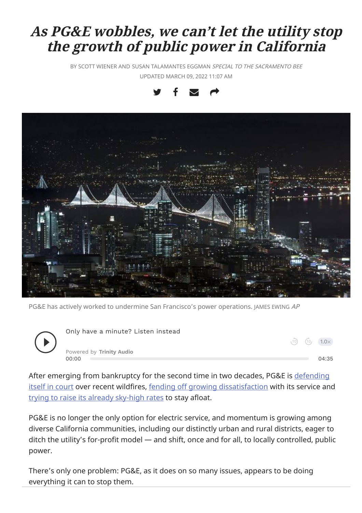# As PG&E wobbles, we can't let the utility stop the growth of public power in California

BY SCOTT WIENER AND SUSAN TALAMANTES EGGMAN SPECIAL TO THE SACRAMENTO BEE UPDATED MARCH 09, 2022 11:07 AM





PG&E has actively worked to undermine San Francisco's power operations. JAMES EWING AP



After emerging from bankruptcy for the second time in two decades, PG&E is [defending](https://calmatters.org/newsletters/whatmatters/2021/11/california-wildfires-pge/) itself in [court](https://calmatters.org/newsletters/whatmatters/2021/11/california-wildfires-pge/) over recent wildfires, fending off growing [dissatisfaction](https://www.kqed.org/news/11891626/hedge-funds-cash-out-billions-in-pge-stock-fire-survivors-suffer-and-wait) with its service and trying to raise its already [sky-high](https://www.sacbee.com/news/california/article252461518.html) rates to stay afloat.

PG&E is no longer the only option for electric service, and momentum is growing among diverse California communities, including our distinctly urban and rural districts, eager to ditch the utility's for-profit model — and shift, once and for all, to locally controlled, public power.

There's only one problem: PG&E, as it does on so many issues, appears to be doing everything it can to stop them.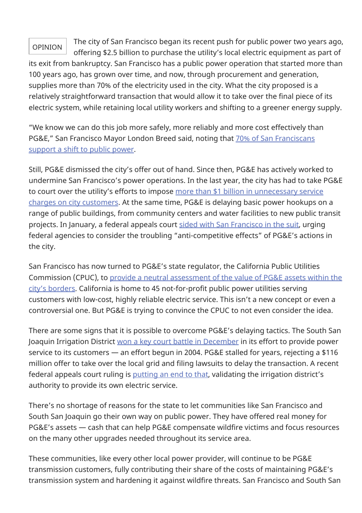## OPINION

The city of San Francisco began its recent push for public power two years ago, offering \$2.5 billion to purchase the utility's local electric equipment as part of

its exit from bankruptcy. San Francisco has a public power operation that started more than 100 years ago, has grown over time, and now, through procurement and generation, supplies more than 70% of the electricity used in the city. What the city proposed is a relatively straightforward transaction that would allow it to take over the final piece of its electric system, while retaining local utility workers and shifting to a greener energy supply.

"We know we can do this job more safely, more reliably and more cost effectively than PG&E," San Francisco Mayor London Breed said, noting that 70% of San [Franciscans](https://sfmayor.org/article/san-francisco-announces-new-major-step-citys-effort-transition-public-power#:~:text=In addition to having the,support switching to public power.) [support](https://sfmayor.org/article/san-francisco-announces-new-major-step-citys-effort-transition-public-power#:~:text=In addition to having the,support switching to public power.) a shift to public power.

Still, PG&E dismissed the city's offer out of hand. Since then, PG&E has actively worked to undermine San Francisco's power operations. In the last year, the city has had to take PG&E to court over the utility's efforts to impose more than \$1 billion in [unnecessary](https://www.sfchronicle.com/local/article/San-Francisco-PG-E-at-odds-again-over-16231506.php) service charges on city [customers](https://www.sfchronicle.com/local/article/San-Francisco-PG-E-at-odds-again-over-16231506.php). At the same time, PG&E is delaying basic power hookups on a range of public buildings, from community centers and water facilities to new public transit projects. In January, a federal appeals court sided with San [Francisco](https://www.sfchronicle.com/bayarea/article/Court-sides-with-S-F-in-its-claim-that-onerous-16807573.php) in the suit, urging federal agencies to consider the troubling "anti-competitive effects" of PG&E's actions in the city.

San Francisco has now turned to PG&E's state regulator, the California Public Utilities Commission (CPUC), to provide a neutral [assessment](https://www.sfchronicle.com/bayarea/article/San-Francisco-asks-state-PUC-to-name-a-price-for-16343431.php) of the value of PG&E assets within the city's [borders.](https://www.sfchronicle.com/bayarea/article/San-Francisco-asks-state-PUC-to-name-a-price-for-16343431.php) California is home to 45 not-for-profit public power utilities serving customers with low-cost, highly reliable electric service. This isn't a new concept or even a controversial one. But PG&E is trying to convince the CPUC to not even consider the idea.

There are some signs that it is possible to overcome PG&E's delaying tactics. The South San Joaquin Irrigation District won a key court battle in [December](https://www.publicpower.org/periodical/article/court-advances-south-san-joaquin-irrigation-district-bid-replace-pge-local-power-provider) in its effort to provide power service to its customers — an effort begun in 2004. PG&E stalled for years, rejecting a \$116 million offer to take over the local grid and filing lawsuits to delay the transaction. A recent federal appeals court ruling is [putting](https://www.escalontimes.com/news/ssjid-wins-key-round-court/) an end to that, validating the irrigation district's authority to provide its own electric service.

There's no shortage of reasons for the state to let communities like San Francisco and South San Joaquin go their own way on public power. They have offered real money for PG&E's assets — cash that can help PG&E compensate wildfire victims and focus resources on the many other upgrades needed throughout its service area.

These communities, like every other local power provider, will continue to be PG&E transmission customers, fully contributing their share of the costs of maintaining PG&E's transmission system and hardening it against wildfire threats. San Francisco and South San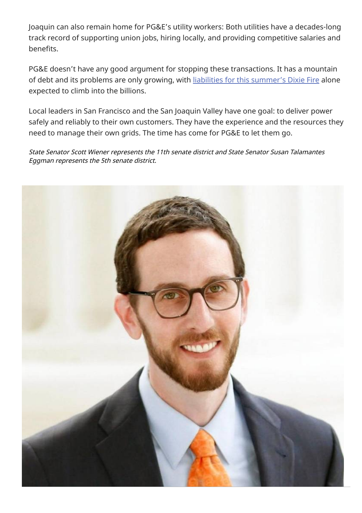Joaquin can also remain home for PG&E's utility workers: Both utilities have a decades-long track record of supporting union jobs, hiring locally, and providing competitive salaries and benefits.

PG&E doesn't have any good argument for stopping these transactions. It has a mountain of debt and its problems are only growing, with liabilities for this [summer's](https://www.nytimes.com/2022/01/04/business/dixie-fire-california-pge.html) Dixie Fire alone expected to climb into the billions.

Local leaders in San Francisco and the San Joaquin Valley have one goal: to deliver power safely and reliably to their own customers. They have the experience and the resources they need to manage their own grids. The time has come for PG&E to let them go.

State Senator Scott Wiener represents the 11th senate district and State Senator Susan Talamantes Eggman represents the 5th senate district.

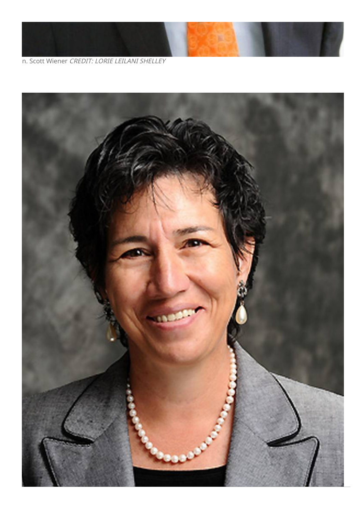

n. Scott Wiener CREDIT: LORIE LEILANI SHELLEY